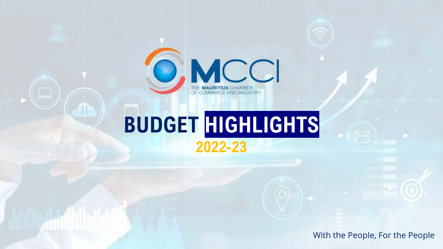

# **BUDGET HIGHLIGHTS 2022-23**

With the People, For the People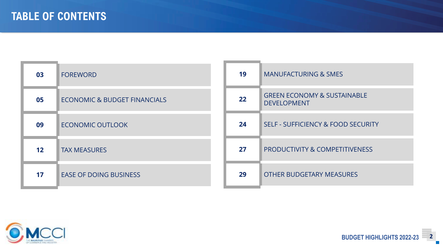| 03                | <b>FOREWORD</b>                         | 19 | <b>MANUFACTURING &amp; SMES</b>                              |
|-------------------|-----------------------------------------|----|--------------------------------------------------------------|
| 05                | <b>ECONOMIC &amp; BUDGET FINANCIALS</b> | 22 | <b>GREEN ECONOMY &amp; SUSTAINABLE</b><br><b>DEVELOPMENT</b> |
| 09                | <b>ECONOMIC OUTLOOK</b>                 | 24 | <b>SELF - SUFFICIENCY &amp; FOOD SECURITY</b>                |
| $12 \overline{ }$ | <b>TAX MEASURES</b>                     | 27 | PRODUCTIVITY & COMPETITIVENESS                               |
| 17                | <b>EASE OF DOING BUSINESS</b>           | 29 | <b>OTHER BUDGETARY MEASURES</b>                              |

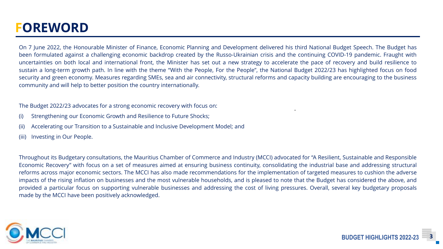## **FOREWORD**

On 7 June 2022, the Honourable Minister of Finance, Economic Planning and Development delivered his third National Budget Speech. The Budget has been formulated against a challenging economic backdrop created by the Russo-Ukrainian crisis and the continuing COVID-19 pandemic. Fraught with uncertainties on both local and international front, the Minister has set out a new strategy to accelerate the pace of recovery and build resilience to sustain a long-term growth path. In line with the theme "With the People, For the People", the National Budget 2022/23 has highlighted focus on food security and green economy. Measures regarding SMEs, sea and air connectivity, structural reforms and capacity building are encouraging to the business community and will help to better position the country internationally.

The Budget 2022/23 advocates for a strong economic recovery with focus on:

- (i) Strengthening our Economic Growth and Resilience to Future Shocks;
- (ii) Accelerating our Transition to a Sustainable and Inclusive Development Model; and
- (iii) Investing in Our People.

Throughout its Budgetary consultations, the Mauritius Chamber of Commerce and Industry (MCCI) advocated for "A Resilient, Sustainable and Responsible Economic Recovery" with focus on a set of measures aimed at ensuring business continuity, consolidating the industrial base and addressing structural reforms across major economic sectors. The MCCI has also made recommendations for the implementation of targeted measures to cushion the adverse impacts of the rising inflation on businesses and the most vulnerable households, and is pleased to note that the Budget has considered the above, and provided a particular focus on supporting vulnerable businesses and addressing the cost of living pressures. Overall, several key budgetary proposals made by the MCCI have been positively acknowledged.

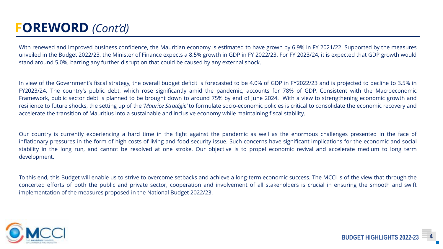## **FOREWORD** *(Cont'd)*

With renewed and improved business confidence, the Mauritian economy is estimated to have grown by 6.9% in FY 2021/22. Supported by the measures unveiled in the Budget 2022/23, the Minister of Finance expects a 8.5% growth in GDP in FY 2022/23. For FY 2023/24, it is expected that GDP growth would stand around 5.0%, barring any further disruption that could be caused by any external shock.

In view of the Government's fiscal strategy, the overall budget deficit is forecasted to be 4.0% of GDP in FY2022/23 and is projected to decline to 3.5% in FY2023/24. The country's public debt, which rose significantly amid the pandemic, accounts for 78% of GDP. Consistent with the Macroeconomic Framework, public sector debt is planned to be brought down to around 75% by end of June 2024. With a view to strengthening economic growth and resilience to future shocks, the setting up of the *'Maurice Stratégie'* to formulate socio-economic policies is critical to consolidate the economic recovery and accelerate the transition of Mauritius into a sustainable and inclusive economy while maintaining fiscal stability.

Our country is currently experiencing a hard time in the fight against the pandemic as well as the enormous challenges presented in the face of inflationary pressures in the form of high costs of living and food security issue. Such concerns have significant implications for the economic and social stability in the long run, and cannot be resolved at one stroke. Our objective is to propel economic revival and accelerate medium to long term development.

To this end, this Budget will enable us to strive to overcome setbacks and achieve a long-term economic success. The MCCI is of the view that through the concerted efforts of both the public and private sector, cooperation and involvement of all stakeholders is crucial in ensuring the smooth and swift implementation of the measures proposed in the National Budget 2022/23.

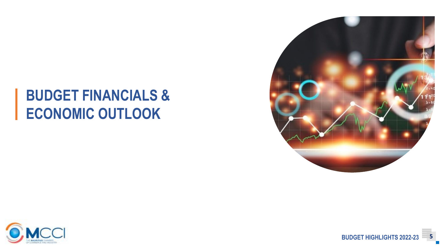## **BUDGET FINANCIALS & ECONOMIC OUTLOOK**





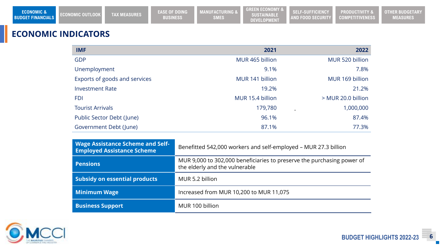## **ECONOMIC INDICATORS**

| <b>IMF</b>                    | 2021             | 2022               |
|-------------------------------|------------------|--------------------|
| <b>GDP</b>                    | MUR 465 billion  | MUR 520 billion    |
| Unemployment                  | 9.1%             | 7.8%               |
| Exports of goods and services | MUR 141 billion  | MUR 169 billion    |
| <b>Investment Rate</b>        | 19.2%            | 21.2%              |
| <b>FDI</b>                    | MUR 15.4 billion | > MUR 20.0 billion |
| <b>Tourist Arrivals</b>       | 179,780          | 1,000,000          |
| Public Sector Debt (June)     | 96.1%            | 87.4%              |
| Government Debt (June)        | 87.1%            | 77.3%              |

| <b>Wage Assistance Scheme and Self-</b><br><b>Employed Assistance Scheme</b> | Benefitted 542,000 workers and self-employed - MUR 27.3 billion                                          |  |
|------------------------------------------------------------------------------|----------------------------------------------------------------------------------------------------------|--|
| <b>Pensions</b>                                                              | MUR 9,000 to 302,000 beneficiaries to preserve the purchasing power of<br>the elderly and the vulnerable |  |
| <b>Subsidy on essential products</b>                                         | MUR 5.2 billion                                                                                          |  |
| <b>Minimum Wage</b>                                                          | Increased from MUR 10,200 to MUR 11,075                                                                  |  |
| <b>Business Support</b>                                                      | MUR 100 billion                                                                                          |  |



**BUDGET HIGHLIGHTS 2022-23 6**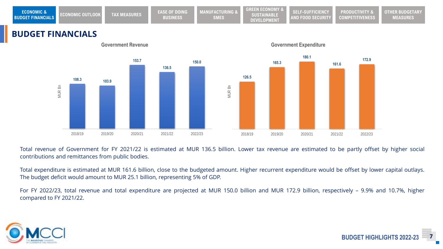| <b>ECONOMIC &amp;</b><br><b>BUDGET FINANCIALS</b> | <b>CONOMIC OUTLOOK</b> | TAX MEASURES | <b>EASE OF DOING</b><br><b>BUSINESS</b> | <b>MANUFACTURING &amp;</b><br><b>SMES</b> | <b>GREEN ECONOMY &amp;</b><br>SUSTAINABLE<br><b>DEVELOPMENT</b> | SELF-SUFFICIENCY<br><b>AND FOOD SECURITY</b> | <b>PRODUCTIVITY &amp;</b><br><b>COMPETITIVENESS</b> | <b>OTHER BUDGETARY</b><br><b>MEASURES</b> |
|---------------------------------------------------|------------------------|--------------|-----------------------------------------|-------------------------------------------|-----------------------------------------------------------------|----------------------------------------------|-----------------------------------------------------|-------------------------------------------|
|---------------------------------------------------|------------------------|--------------|-----------------------------------------|-------------------------------------------|-----------------------------------------------------------------|----------------------------------------------|-----------------------------------------------------|-------------------------------------------|

### **BUDGET FINANCIALS**



Total revenue of Government for FY 2021/22 is estimated at MUR 136.5 billion. Lower tax revenue are estimated to be partly offset by higher social contributions and remittances from public bodies.

Total expenditure is estimated at MUR 161.6 billion, close to the budgeted amount. Higher recurrent expenditure would be offset by lower capital outlays. The budget deficit would amount to MUR 25.1 billion, representing 5% of GDP.

For FY 2022/23, total revenue and total expenditure are projected at MUR 150.0 billion and MUR 172.9 billion, respectively – 9.9% and 10.7%, higher compared to FY 2021/22.



**BUDGET HIGHLIGHTS 2022-**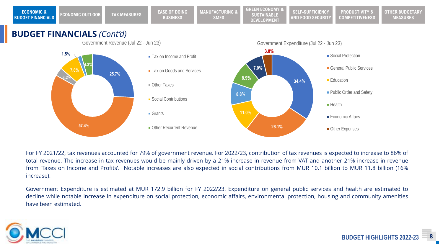

**Social Contributions** 

**Other Recurrent Revenue** 

Grants

For FY 2021/22, tax revenues accounted for 79% of government revenue. For 2022/23, contribution of tax revenues is expected to increase to 86% of total revenue. The increase in tax revenues would be mainly driven by a 21% increase in revenue from VAT and another 21% increase in revenue from 'Taxes on Income and Profits'. Notable increases are also expected in social contributions from MUR 10.1 billion to MUR 11.8 billion (16% increase).

**26.1%**

**11.0%**

**8.8%**

Government Expenditure is estimated at MUR 172.9 billion for FY 2022/23. Expenditure on general public services and health are estimated to decline while notable increase in expenditure on social protection, economic affairs, environmental protection, housing and community amenities have been estimated.



**57.4%**

**Public Order and Safety** 

**Economic Affairs** 

**Other Expenses** 

**Health**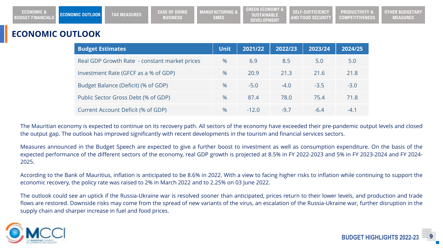| <b>ECONOMIC &amp;</b><br><b>BUDGET FINANCIALS</b> | <b>ECONOMIC OUTLOOK</b> | TAX MEASURES | <b>EASE OF DOING</b><br><b>BUSINESS</b> | <b>WFACTURING &amp; L</b><br><b>SMES</b> | <b>GREEN ECONOMY 8</b><br>SUSTAINABLE<br><b>DEVELOPMENT</b> | SELF-SUFFICIENCY<br><b>AND FOOD SECURITY</b> | <b>PRODUCTIVITY &amp;</b><br><b>COMPETITIVENESS</b> | IER BUDGETARY<br>OTH<br><b>MEASURES</b> |
|---------------------------------------------------|-------------------------|--------------|-----------------------------------------|------------------------------------------|-------------------------------------------------------------|----------------------------------------------|-----------------------------------------------------|-----------------------------------------|
|---------------------------------------------------|-------------------------|--------------|-----------------------------------------|------------------------------------------|-------------------------------------------------------------|----------------------------------------------|-----------------------------------------------------|-----------------------------------------|

### **ECONOMIC OUTLOOK**

| <b>Budget Estimates</b>                       | <b>Unit</b> | 2021/22 | 2022/23 | 2023/24 | 2024/25 |
|-----------------------------------------------|-------------|---------|---------|---------|---------|
| Real GDP Growth Rate - constant market prices | $\%$        | 6.9     | 8.5     | 5.0     | 5.0     |
| Investment Rate (GFCF as a % of GDP)          | $\%$        | 20.9    | 21.3    | 21.6    | 21.8    |
| Budget Balance (Deficit) (% of GDP)           | $\%$        | $-5.0$  | $-4.0$  | $-3.5$  | $-3.0$  |
| Public Sector Gross Debt (% of GDP)           | $\%$        | 87.4    | 78.0    | 75.4    | 71.8    |
| Current Account Deficit (% of GDP)            | $\%$        | $-12.0$ | $-9.7$  | $-64$   | $-4.1$  |

The Mauritian economy is expected to continue on its recovery path. All sectors of the economy have exceeded their pre-pandemic output levels and closed the output gap. The outlook has improved significantly with recent developments in the tourism and financial services sectors.

Measures announced in the Budget Speech are expected to give a further boost to investment as well as consumption expenditure. On the basis of the expected performance of the different sectors of the economy, real GDP growth is projected at 8.5% in FY 2022-2023 and 5% in FY 2023-2024 and FY 2024- 2025.

According to the Bank of Mauritius, inflation is anticipated to be 8.6% in 2022. With a view to facing higher risks to inflation while continuing to support the economic recovery, the policy rate was raised to 2% in March 2022 and to 2.25% on 03 June 2022.

The outlook could see an uptick if the Russia-Ukraine war is resolved sooner than anticipated, prices return to their lower levels, and production and trade flows are restored. Downside risks may come from the spread of new variants of the virus, an escalation of the Russia-Ukraine war, further disruption in the supply chain and sharper increase in fuel and food prices.

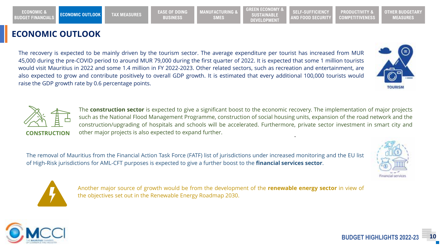### **ECONOMIC OUTLOOK**

**ECONOMIC &** 

The recovery is expected to be mainly driven by the tourism sector. The average expenditure per tourist has increased from MUR 45,000 during the pre-COVID period to around MUR 79,000 during the first quarter of 2022. It is expected that some 1 million tourists would visit Mauritius in 2022 and some 1.4 million in FY 2022-2023. Other related sectors, such as recreation and entertainment, are also expected to grow and contribute positively to overall GDP growth. It is estimated that every additional 100,000 tourists would raise the GDP growth rate by 0.6 percentage points.

The **construction sector** is expected to give a significant boost to the economic recovery. The implementation of major projects such as the National Flood Management Programme, construction of social housing units, expansion of the road network and the construction/upgrading of hospitals and schools will be accelerated. Furthermore, private sector investment in smart city and **CONSTRUCTION** other major projects is also expected to expand further.

The removal of Mauritius from the Financial Action Task Force (FATF) list of jurisdictions under increased monitoring and the EU list of High-Risk jurisdictions for AML-CFT purposes is expected to give a further boost to the **financial services sector**.

> Another major source of growth would be from the development of the **renewable energy sector** in view of the objectives set out in the Renewable Energy Roadmap 2030.







**BUDGET FINANCIALS ECONOMIC OUTLOOK TAX MEASURES EASE OF DOING BUSINESS**

**MANUFACTURING & SMES**

**SUSTAINABLE DEVELOPMENT**

**GREEN ECONOMY &**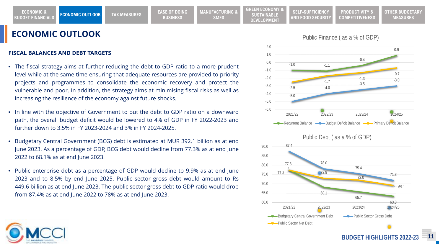#### **FISCAL BALANCES AND DEBT TARGETS**

- The fiscal strategy aims at further reducing the debt to GDP ratio to a more prudent level while at the same time ensuring that adequate resources are provided to priority projects and programmes to consolidate the economic recovery and protect the vulnerable and poor. In addition, the strategy aims at minimising fiscal risks as well as increasing the resilience of the economy against future shocks.
- In line with the objective of Government to put the debt to GDP ratio on a downward path, the overall budget deficit would be lowered to 4% of GDP in FY 2022-2023 and further down to 3.5% in FY 2023-2024 and 3% in FY 2024-2025.
- Budgetary Central Government (BCG) debt is estimated at MUR 392.1 billion as at end June 2023. As a percentage of GDP, BCG debt would decline from 77.3% as at end June 2022 to 68.1% as at end June 2023.
- Public enterprise debt as a percentage of GDP would decline to 9.9% as at end June 2023 and to 8.5% by end June 2025. Public sector gross debt would amount to Rs 449.6 billion as at end June 2023. The public sector gross debt to GDP ratio would drop from 87.4% as at end June 2022 to 78% as at end June 2023.



60.0

**SUSTAINABLE DEVELOPMENT**

Public Sector Net Debt

#### Public Finance ( as a % of GDP)

**PRODUCTIVITY & COMPETITIVENESS** **OTHER BUDGETARY MEASURES**

**SELF-SUFFICIENCY AND FOOD SECURITY**

**BUDGET HIGHLIGHTS 2022-2** 

63.3

65.7

2021/22 2022/23 2023/24 2024/25

Budgetary Central Government Debt Public Sector Gross Debt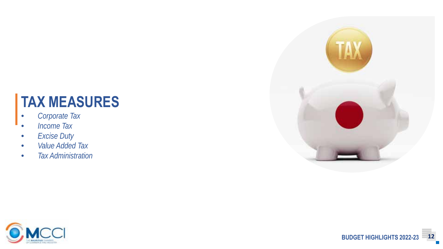## **TAX MEASURES**

- *Corporate Tax*
- *Income Tax*
- *Excise Duty*
- *Value Added Tax*
- *Tax Administration*



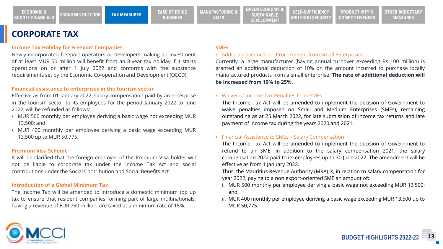**PRODUCTIVITY & COMPETITIVENESS**

### **CORPORATE TAX**

#### **Income Tax Holiday for Freeport Companies**

Newly incorporated freeport operators or developers making an investment of at least MUR 50 million will benefit from an 8-year tax holiday if it starts operations on or after 1 July 2022 and conforms with the substance requirements set by the Economic Co-operation and Development (OECD).

#### **Financial assistance to enterprises in the tourism sector**

Effective as from 01 January 2022, salary compensation paid by an enterprise in the tourism sector to its employees for the period January 2022 to June 2022, will be refunded as follows:

- MUR 500 monthly per employee deriving a basic wage not exceeding MUR 13,500; and
- MUR 400 monthly per employee deriving a basic wage exceeding MUR 13,500 up to MUR 50,775.

#### **Premium Visa Scheme**

It will be clarified that the foreign employer of the Premium Visa holder will not be liable to corporate tax under the Income Tax Act and social contributions under the Social Contribution and Social Benefits Act.

#### **Introduction of a Global Minimum Tax**

The Income Tax will be amended to introduce a domestic minimum top up tax to ensure that resident companies forming part of large multinationals, having a revenue of EUR 750 million, are taxed at a minimum rate of 15%.

#### **SMEs**

#### • Additional Deduction - Procurement from Small Enterprises

Currently, a large manufacturer (having annual turnover exceeding Rs 100 million) is granted an additional deduction of 10% on the amount incurred to purchase locally manufactured products from a small enterprise. **The rate of additional deduction will be increased from 10% to 25%.**

#### • Waiver of Income Tax Penalties from SMEs

The Income Tax Act will be amended to implement the decision of Government to waive penalties imposed on Small and Medium Enterprises (SMEs), remaining outstanding as at 25 March 2022, for late submission of income tax returns and late payment of income tax during the years 2020 and 2021.

#### • Financial Assistance to SMEs – Salary Compensation

The Income Tax Act will be amended to implement the decision of Government to refund to an SME, in addition to the salary compensation 2021, the salary compensation 2022 paid to its employees up to 30 June 2022. The amendment will be effective as from 1 January 2022.

Thus, the Mauritius Revenue Authority (MRA) is, in relation to salary compensation for year 2022, paying to a non export-oriented SME an amount of:

- i. MUR 500 monthly per employee deriving a basic wage not exceeding MUR 13,500; and
- ii. MUR 400 monthly per employee deriving a basic wage exceeding MUR 13,500 up to MUR 50,775.

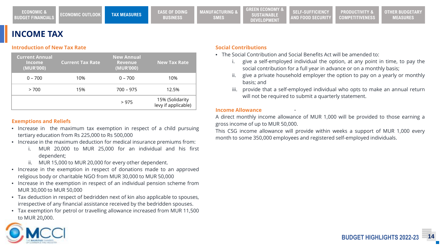## **INCOME TAX**

#### **Introduction of New Tax Rate**

| <b>Current Annual</b><br><b>Income</b><br>(MUR'000) | <b>Current Tax Rate</b> | <b>New Annual</b><br><b>Revenue</b><br>(MUR'000) | <b>New Tax Rate</b>                    |
|-----------------------------------------------------|-------------------------|--------------------------------------------------|----------------------------------------|
| $0 - 700$                                           | 10%                     | $0 - 700$                                        | 10%                                    |
| > 700                                               | 15%                     | $700 - 975$                                      | 12.5%                                  |
|                                                     |                         | >975                                             | 15% (Solidarity<br>levy if applicable) |

#### **Exemptions and Reliefs**

- Increase in the maximum tax exemption in respect of a child pursuing tertiary education from Rs 225,000 to Rs 500,000
- Increase in the maximum deduction for medical insurance premiums from:
	- i. MUR 20,000 to MUR 25,000 for an individual and his first dependent;
	- ii. MUR 15,000 to MUR 20,000 for every other dependent.
- Increase in the exemption in respect of donations made to an approved religious body or charitable NGO from MUR 30,000 to MUR 50,000
- Increase in the exemption in respect of an individual pension scheme from MUR 30,000 to MUR 50,000
- Tax deduction in respect of bedridden next of kin also applicable to spouses, irrespective of any financial assistance received by the bedridden spouses.
- Tax exemption for petrol or travelling allowance increased from MUR 11,500 to MUR 20,000.

#### **Social Contributions**

**SUSTAINABLE DEVELOPMENT**

- The Social Contribution and Social Benefits Act will be amended to:
	- i. give a self-employed individual the option, at any point in time, to pay the social contribution for a full year in advance or on a monthly basis;

**PRODUCTIVITY & COMPETITIVENESS**

- give a private household employer the option to pay on a yearly or monthly basis; and
- iii. provide that a self-employed individual who opts to make an annual return will not be required to submit a quarterly statement.

#### **Income Allowance**

A direct monthly income allowance of MUR 1,000 will be provided to those earning a gross income of up to MUR 50,000.

This CSG income allowance will provide within weeks a support of MUR 1,000 every month to some 350,000 employees and registered self-employed individuals.

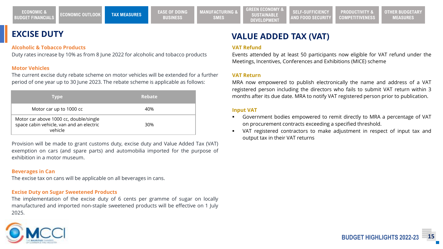### **EXCISE DUTY**

#### **Alcoholic & Tobacco Products**

Duty rates increase by 10% as from 8 June 2022 for alcoholic and tobacco products

#### **Motor Vehicles**

The current excise duty rebate scheme on motor vehicles will be extended for a further period of one year up to 30 June 2023. The rebate scheme is applicable as follows:

| <b>Type</b>                                                                                   | <b>Rebate</b> |
|-----------------------------------------------------------------------------------------------|---------------|
| Motor car up to 1000 cc                                                                       | 40%           |
| Motor car above 1000 cc, double/single<br>space cabin vehicle, van and an electric<br>vehicle | 30%           |

Provision will be made to grant customs duty, excise duty and Value Added Tax (VAT) exemption on cars (and spare parts) and automobilia imported for the purpose of exhibition in a motor museum.

#### **Beverages in Can**

The excise tax on cans will be applicable on all beverages in cans.

#### **Excise Duty on Sugar Sweetened Products**

The implementation of the excise duty of 6 cents per gramme of sugar on locally manufactured and imported non-staple sweetened products will be effective on 1 July 2025.



## **VALUE ADDED TAX (VAT)**

**SUSTAINABLE DEVELOPMENT**

#### **VAT Refund**

Events attended by at least 50 participants now eligible for VAT refund under the Meetings, Incentives, Conferences and Exhibitions (MICE) scheme

**PRODUCTIVITY &** 

#### **VAT Return**

MRA now empowered to publish electronically the name and address of a VAT registered person including the directors who fails to submit VAT return within 3 months after its due date. MRA to notify VAT registered person prior to publication.

#### **Input VAT**

- Government bodies empowered to remit directly to MRA a percentage of VAT on procurement contracts exceeding a specified threshold.
- VAT registered contractors to make adjustment in respect of input tax and output tax in their VAT returns

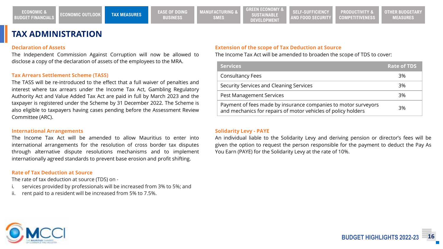**PRODUCTIVITY & COMPETITIVENESS**

### **TAX ADMINISTRATION**

#### **Declaration of Assets**

The Independent Commission Against Corruption will now be allowed to disclose a copy of the declaration of assets of the employees to the MRA.

#### **Tax Arrears Settlement Scheme (TASS)**

The TASS will be re-introduced to the effect that a full waiver of penalties and interest where tax arrears under the Income Tax Act, Gambling Regulatory Authority Act and Value Added Tax Act are paid in full by March 2023 and the taxpayer is registered under the Scheme by 31 December 2022. The Scheme is also eligible to taxpayers having cases pending before the Assessment Review Committee (ARC).

#### **International Arrangements**

The Income Tax Act will be amended to allow Mauritius to enter into international arrangements for the resolution of cross border tax disputes through alternative dispute resolutions mechanisms and to implement internationally agreed standards to prevent base erosion and profit shifting.

#### **Rate of Tax Deduction at Source**

The rate of tax deduction at source (TDS) on -

- services provided by professionals will be increased from 3% to 5%; and
- ii. rent paid to a resident will be increased from 5% to 7.5%.

#### **Extension of the scope of Tax Deduction at Source**

The Income Tax Act will be amended to broaden the scope of TDS to cover:

| <b>Services</b>                                                                                                                 | <b>Rate of TDS</b> |
|---------------------------------------------------------------------------------------------------------------------------------|--------------------|
| <b>Consultancy Fees</b>                                                                                                         | 3%                 |
| Security Services and Cleaning Services                                                                                         | 3%                 |
| <b>Pest Management Services</b>                                                                                                 | 3%                 |
| Payment of fees made by insurance companies to motor surveyors<br>and mechanics for repairs of motor vehicles of policy holders | 3%                 |

#### **Solidarity Levy - PAYE**

An individual liable to the Solidarity Levy and deriving pension or director's fees will be given the option to request the person responsible for the payment to deduct the Pay As You Earn (PAYE) for the Solidarity Levy at the rate of 10%.

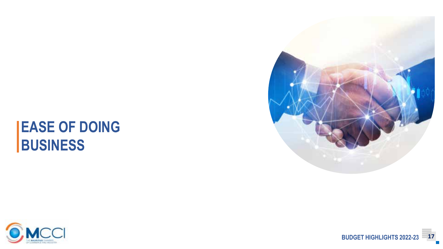## **EASE OF DOING BUSINESS**



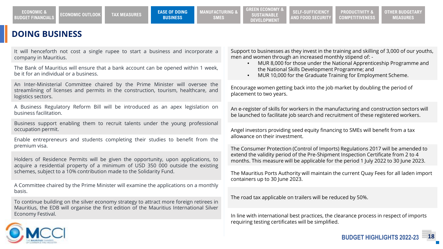**ECONOMIC &** 

### **DOING BUSINESS**

It will henceforth not cost a single rupee to start a business and incorporate a company in Mauritius.

The Bank of Mauritius will ensure that a bank account can be opened within 1 week, be it for an individual or a business.

An Inter-Ministerial Committee chaired by the Prime Minister will oversee the streamlining of licenses and permits in the construction, tourism, healthcare, and logistics sectors.

A Business Regulatory Reform Bill will be introduced as an apex legislation on business facilitation.

Business support enabling them to recruit talents under the young professional occupation permit.

Enable entrepreneurs and students completing their studies to benefit from the premium visa.

Holders of Residence Permits will be given the opportunity, upon applications, to acquire a residential property of a minimum of USD 350 000 outside the existing schemes, subject to a 10% contribution made to the Solidarity Fund.

A Committee chaired by the Prime Minister will examine the applications on a monthly basis.

To continue building on the silver economy strategy to attract more foreign retirees in Mauritius, the EDB will organise the first edition of the Mauritius International Silver Economy Festival.

Support to businesses as they invest in the training and skilling of 3,000 of our youths, men and women through an increased monthly stipend of: -

- MUR 8,000 for those under the National Apprenticeship Programme and the National Skills Development Programme; and
- MUR 10,000 for the Graduate Training for Employment Scheme.

Encourage women getting back into the job market by doubling the period of placement to two years.

An e-register of skills for workers in the manufacturing and construction sectors will be launched to facilitate job search and recruitment of these registered workers.

Angel investors providing seed equity financing to SMEs will benefit from a tax allowance on their investment.

The Consumer Protection (Control of Imports) Regulations 2017 will be amended to extend the validity period of the Pre-Shipment Inspection Certificate from 2 to 4 months. This measure will be applicable for the period 1 July 2022 to 30 June 2023.

The Mauritius Ports Authority will maintain the current Quay Fees for all laden import containers up to 30 June 2023.

The road tax applicable on trailers will be reduced by 50%.

In line with international best practices, the clearance process in respect of imports requiring testing certificates will be simplified.

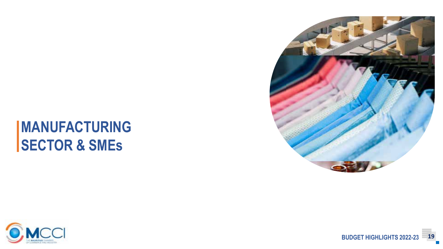## **MANUFACTURING SECTOR & SMEs**



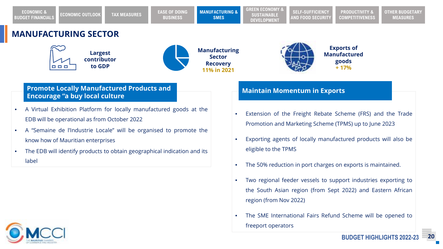**PRODUCTIVITY & COMPETITIVENESS**

## **MANUFACTURING SECTOR**





**Manufacturing Sector Recovery 11% in 2021**



### **Promote Locally Manufactured Products and Encourage "a buy local culture Maintain Momentum in Exports**

- A Virtual Exhibition Platform for locally manufactured goods at the EDB will be operational as from October 2022
- A "Semaine de l'Industrie Locale" will be organised to promote the know how of Mauritian enterprises
- The EDB will identify products to obtain geographical indication and its label

- Extension of the Freight Rebate Scheme (FRS) and the Trade Promotion and Marketing Scheme (TPMS) up to June 2023
- Exporting agents of locally manufactured products will also be eligible to the TPMS
- The 50% reduction in port charges on exports is maintained.
- Two regional feeder vessels to support industries exporting to the South Asian region (from Sept 2022) and Eastern African region (from Nov 2022)
- The SME International Fairs Refund Scheme will be opened to freeport operators

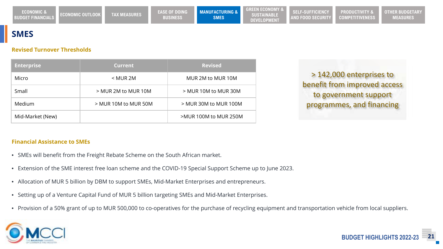### **SMES**

#### **Revised Turnover Thresholds**

| <b>Enterprise</b> | <b>Current</b>         | <b>Revised</b>           |
|-------------------|------------------------|--------------------------|
| Micro             | $<$ MUR 2M             | MUR 2M to MUR 10M        |
| Small             | > MUR 2M to MUR 10M    | > MUR 10M to MUR 30M     |
| Medium            | $>$ MUR 10M to MUR 50M | $>$ MUR 30M to MUR 100M  |
| Mid-Market (New)  |                        | $>$ MUR 100M to MUR 250M |

> 142,000 enterprises to benefit from improved access to government support programmes, and financing

#### **Financial Assistance to SMEs**

- SMEs will benefit from the Freight Rebate Scheme on the South African market.
- Extension of the SME interest free loan scheme and the COVID-19 Special Support Scheme up to June 2023.
- Allocation of MUR 5 billion by DBM to support SMEs, Mid-Market Enterprises and entrepreneurs.
- Setting up of a Venture Capital Fund of MUR 5 billion targeting SMEs and Mid-Market Enterprises.
- Provision of a 50% grant of up to MUR 500,000 to co-operatives for the purchase of recycling equipment and transportation vehicle from local suppliers.

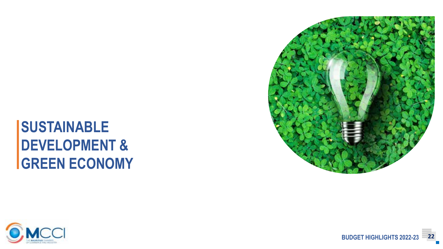## **SUSTAINABLE DEVELOPMENT & GREEN ECONOMY**



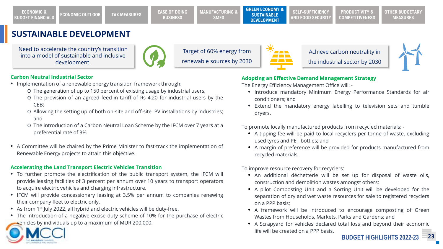### **SUSTAINABLE DEVELOPMENT**

Need to accelerate the country's transition into a model of sustainable and inclusive development.



Target of 60% energy from renewable sources by 2030



Achieve carbon neutrality in the industrial sector by 2030



#### **Carbon Neutral Industrial Sector**

- Implementation of a renewable energy transition framework through:
	- o The generation of up to 150 percent of existing usage by industrial users;
	- o The provision of an agreed feed-in tariff of Rs 4.20 for industrial users by the CEB;
	- o Allowing the setting up of both on-site and off-site PV installations by industries; and
	- o The introduction of a Carbon Neutral Loan Scheme by the IFCM over 7 years at a preferential rate of 3%
- A Committee will be chaired by the Prime Minister to fast-track the implementation of Renewable Energy projects to attain this objective.

#### **Accelerating the Land Transport Electric Vehicles Transition**

- To further promote the electrification of the public transport system, the IFCM will provide leasing facilities of 3 percent per annum over 10 years to transport operators to acquire electric vehicles and charging infrastructure.
- IFCM will provide concessionary leasing at 3.5% per annum to companies renewing their company fleet to electric only.
- As from 1<sup>st</sup> July 2022, all hybrid and electric vehicles will be duty-free.
- The introduction of a negative excise duty scheme of 10% for the purchase of electric vehicles by individuals up to a maximum of MUR 200,000.

## **Adopting an Effective Demand Management Strategy**

The Energy Efficiency Management Office will: -

- Introduce mandatory Minimum Energy Performance Standards for air conditioners; and
- Extend the mandatory energy labelling to television sets and tumble dryers.

To promote locally manufactured products from recycled materials: -

- A tipping fee will be paid to local recyclers per tonne of waste, excluding used tyres and PET bottles; and
- A margin of preference will be provided for products manufactured from recycled materials.

To improve resource recovery for recyclers:

- An additional déchetterie will be set up for disposal of waste oils, construction and demolition wastes amongst others;
- A pilot Composting Unit and a Sorting Unit will be developed for the separation of dry and wet waste resources for sale to registered recyclers on a PPP basis;
- A framework will be introduced to encourage composting of Green Wastes from Households, Markets, Parks and Gardens; and
- A Scrapyard for vehicles declared total loss and beyond their economic life will be created on a PPP basis.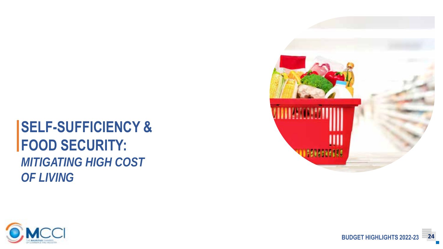## **SELF-SUFFICIENCY & FOOD SECURITY:** *MITIGATING HIGH COST OF LIVING*



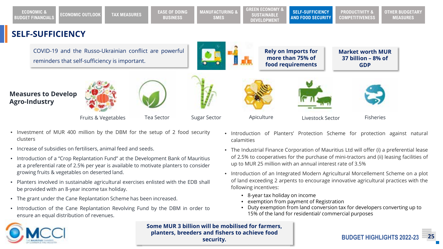**SELF-SUFFICIENCY Rely on Imports for more than 75% of food requirements**  COVID-19 and the Russo-Ukrainian conflict are powerful reminders that self-sufficiency is important. **Market worth MUR 37 billion – 8% of GDP** Fruits & Vegetables **Measures to Develop Agro-Industry** Tea Sector Sugar Sector Apiculture Livestock Sector Fisheries **ECONOMIC & BUDGET FINANCIALS ECONOMIC OUTLOOK TAX MEASURES EASE OF DOING BUSINESS MANUFACTURING & SMES GREEN ECONOMY & SUSTAINABLE DEVELOPMENT SELF-SUFFICIENCY AND FOOD SECURITY PRODUCTIVITY & COMPETITIVENESS OTHER BUDGETARY MEASURES**

- Investment of MUR 400 million by the DBM for the setup of 2 food security clusters
- Increase of subsidies on fertilisers, animal feed and seeds.
- Introduction of a "Crop Replantation Fund" at the Development Bank of Mauritius at a preferential rate of 2.5% per year is available to motivate planters to consider growing fruits & vegetables on deserted land.
- Planters involved in sustainable agricultural exercises enlisted with the EDB shall be provided with an 8-year income tax holiday.
- The grant under the Cane Replantation Scheme has been increased.
- Introduction of the Cane Replantation Revolving Fund by the DBM in order to ensure an equal distribution of revenues.
- Introduction of Planters' Protection Scheme for protection against natural calamities
- The Industrial Finance Corporation of Mauritius Ltd will offer (i) a preferential lease of 2.5% to cooperatives for the purchase of mini-tractors and (ii) leasing facilities of up to MUR 25 million with an annual interest rate of 3.5%
- Introduction of an Integrated Modern Agricultural Morcellement Scheme on a plot of land exceeding 2 arpents to encourage innovative agricultural practices with the following incentives:
	- 8-year tax holiday on income
	- exemption from payment of Registration
	- Duty exemption from land conversion tax for developers converting up to 15% of the land for residential/ commercial purposes



**Some MUR 3 billion will be mobilised for farmers, planters, breeders and fishers to achieve food security.**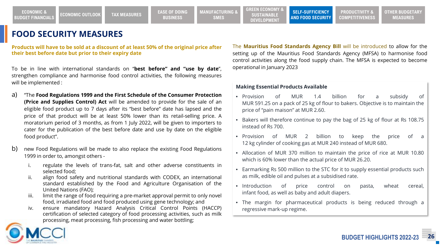## **FOOD SECURITY MEASURES**

**Products will have to be sold at a discount of at least 50% of the original price after their best before date but prior to their expiry date**

To be in line with international standards on "**best before" and "use by date**", strengthen compliance and harmonise food control activities, the following measures will be implemented :

- a) "The **Food Regulations 1999 and the First Schedule of the Consumer Protection (Price and Supplies Control) Act** will be amended to provide for the sale of an eligible food product up to 7 days after its "best before" date has lapsed and the price of that product will be at least 50% lower than its retail-selling price. A moratorium period of 3 months, as from 1 July 2022, will be given to importers to cater for the publication of the best before date and use by date on the eligible food product".
- b) new Food Regulations will be made to also replace the existing Food Regulations 1999 in order to, amongst others
	- regulate the levels of trans-fat, salt and other adverse constituents in selected food;
	- ii. align food safety and nutritional standards with CODEX, an international standard established by the Food and Agriculture Organisation of the United Nations (FAO);
	- iii. limit the range of food requiring a pre-market approval permit to only novel food, irradiated food and food produced using gene technology; and
	- iv. ensure mandatory Hazard Analysis Critical Control Points (HACCP) certification of selected category of food processing activities, such as milk processing, meat processing, fish processing and water bottling;

The **Mauritius Food Standards Agency Bill** will be introduced to allow for the setting up of the Mauritius Food Standards Agency (MFSA) to harmonise food control activities along the food supply chain. The MFSA is expected to become operational in January 2023

#### **Making Essential Products Available**

- Provision of MUR 1.4 billion for a subsidy of MUR 591.25 on a pack of 25 kg of flour to bakers. Objective is to maintain the price of "pain maison" at MUR 2.60.
- Bakers will therefore continue to pay the bag of 25 kg of flour at Rs 108.75 instead of Rs 700.
- Provision of MUR 2 billion to keep the price of a 12 kg cylinder of cooking gas at MUR 240 instead of MUR 680.
- Allocation of MUR 370 million to maintain the price of rice at MUR 10.80 which is 60% lower than the actual price of MUR 26.20.
- Earmarking Rs 500 million to the STC for it to supply essential products such as milk, edible oil and pulses at a subsidised rate.
- Introduction of price control on pasta, wheat cereal, infant food, as well as baby and adult diapers.
- The margin for pharmaceutical products is being reduced through a regressive mark-up regime.

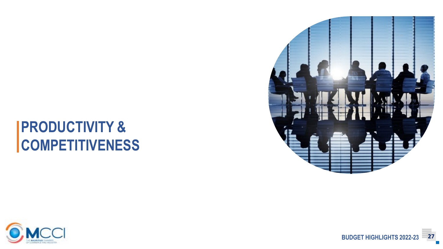## **PRODUCTIVITY & COMPETITIVENESS**



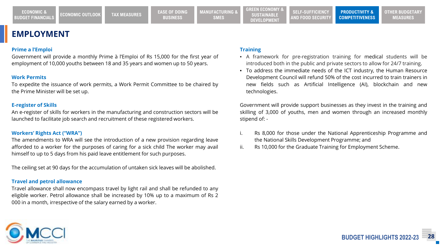**ECONOMIC &** 

### **EMPLOYMENT**

#### **Prime a l'Emploi**

Government will provide a monthly Prime à l'Emploi of Rs 15,000 for the first year of employment of 10,000 youths between 18 and 35 years and women up to 50 years.

#### **Work Permits**

To expedite the issuance of work permits, a Work Permit Committee to be chaired by the Prime Minister will be set up.

#### **E-register of Skills**

An e-register of skills for workers in the manufacturing and construction sectors will be launched to facilitate job search and recruitment of these registered workers.

#### **Workers' Rights Act ("WRA")**

The amendments to WRA will see the introduction of a new provision regarding leave afforded to a worker for the purposes of caring for a sick child The worker may avail himself to up to 5 days from his paid leave entitlement for such purposes.

The ceiling set at 90 days for the accumulation of untaken sick leaves will be abolished.

#### **Travel and petrol allowance**

Travel allowance shall now encompass travel by light rail and shall be refunded to any eligible worker. Petrol allowance shall be increased by 10% up to a maximum of Rs 2 000 in a month, irrespective of the salary earned by a worker.

#### **Training**

• A framework for pre-registration training for medical students will be introduced both in the public and private sectors to allow for 24/7 training.

**PRODUCTIVITY & COMPETITIVENESS**

• To address the immediate needs of the ICT industry, the Human Resource Development Council will refund 50% of the cost incurred to train trainers in new fields such as Artificial Intelligence (AI), blockchain and new technologies.

Government will provide support businesses as they invest in the training and skilling of 3,000 of youths, men and women through an increased monthly stipend of: -

- i. Rs 8,000 for those under the National Apprenticeship Programme and the National Skills Development Programme; and
- ii. Rs 10,000 for the Graduate Training for Employment Scheme.



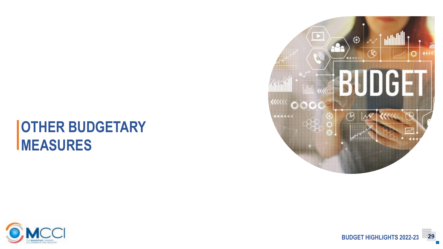## **OTHER BUDGETARY MEASURES**



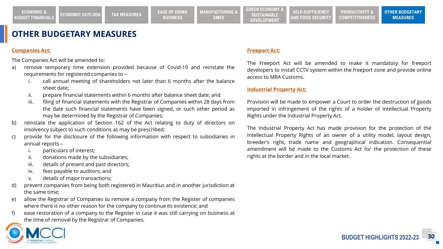## **OTHER BUDGETARY MEASURES**

#### **Companies Act:**

The Companies Act will be amended to:

- a) remove temporary time extension provided because of Covid-19 and reinstate the requirements for registered companies to –
	- call annual meeting of shareholders not later than 6 months after the balance sheet date;
	- ii. prepare financial statements within 6 months after balance sheet date; and
	- iii. filing of financial statements with the Registrar of Companies within 28 days from the date such financial statements have been signed, or such other period as may be determined by the Registrar of Companies;
- b) reinstate the application of Section 162 of the Act relating to duty of directors on insolvency subject to such conditions as may be prescribed;
- c) provide for the disclosure of the following information with respect to subsidiaries in annual reports –
	- particulars of interest;
	- ii. donations made by the subsidiaries;
	- iii. details of present and past directors;
	- iv. fees payable to auditors; and
	- v. details of major transactions;
- d) prevent companies from being both registered in Mauritius and in another jurisdiction at the same time;
- e) allow the Registrar of Companies to remove a company from the Register of companies where there is no other reason for the company to continue its existence; and
- f) ease restoration of a company to the Register in case it was still carrying on business at the time of removal by the Registrar of Companies.

#### **Freeport Act:**

The Freeport Act will be amended to make it mandatory for freeport developers to install CCTV system within the freeport zone and provide online access to MRA Customs.

#### **Industrial Property Act:**

Provision will be made to empower a Court to order the destruction of goods imported in infringement of the rights of a holder of Intellectual Property Rights under the Industrial Property Act.

The Industrial Property Act has made provision for the protection of the Intellectual Property Rights of an owner of a utility model, layout design, breeder's right, trade name and geographical indication. Consequential amendment will be made to the Customs Act for the protection of these rights at the border and in the local market.